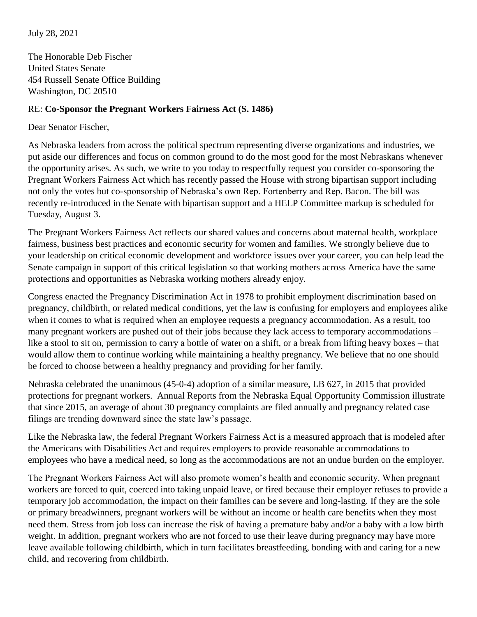July 28, 2021

The Honorable Deb Fischer United States Senate 454 Russell Senate Office Building Washington, DC 20510

## RE: **Co-Sponsor the Pregnant Workers Fairness Act (S. 1486)**

Dear Senator Fischer,

As Nebraska leaders from across the political spectrum representing diverse organizations and industries, we put aside our differences and focus on common ground to do the most good for the most Nebraskans whenever the opportunity arises. As such, we write to you today to respectfully request you consider co-sponsoring the Pregnant Workers Fairness Act which has recently passed the House with strong bipartisan support including not only the votes but co-sponsorship of Nebraska's own Rep. Fortenberry and Rep. Bacon. The bill was recently re-introduced in the Senate with bipartisan support and a HELP Committee markup is scheduled for Tuesday, August 3.

The Pregnant Workers Fairness Act reflects our shared values and concerns about maternal health, workplace fairness, business best practices and economic security for women and families. We strongly believe due to your leadership on critical economic development and workforce issues over your career, you can help lead the Senate campaign in support of this critical legislation so that working mothers across America have the same protections and opportunities as Nebraska working mothers already enjoy.

Congress enacted the Pregnancy Discrimination Act in 1978 to prohibit employment discrimination based on pregnancy, childbirth, or related medical conditions, yet the law is confusing for employers and employees alike when it comes to what is required when an employee requests a pregnancy accommodation. As a result, too many pregnant workers are pushed out of their jobs because they lack access to temporary accommodations – like a stool to sit on, permission to carry a bottle of water on a shift, or a break from lifting heavy boxes – that would allow them to continue working while maintaining a healthy pregnancy. We believe that no one should be forced to choose between a healthy pregnancy and providing for her family.

Nebraska celebrated the unanimous (45-0-4) adoption of a similar measure, LB 627, in 2015 that provided protections for pregnant workers. Annual Reports from the Nebraska Equal Opportunity Commission illustrate that since 2015, an average of about 30 pregnancy complaints are filed annually and pregnancy related case filings are trending downward since the state law's passage.

Like the Nebraska law, the federal Pregnant Workers Fairness Act is a measured approach that is modeled after the Americans with Disabilities Act and requires employers to provide reasonable accommodations to employees who have a medical need, so long as the accommodations are not an undue burden on the employer.

The Pregnant Workers Fairness Act will also promote women's health and economic security. When pregnant workers are forced to quit, coerced into taking unpaid leave, or fired because their employer refuses to provide a temporary job accommodation, the impact on their families can be severe and long-lasting. If they are the sole or primary breadwinners, pregnant workers will be without an income or health care benefits when they most need them. Stress from job loss can increase the risk of having a premature baby and/or a baby with a low birth weight. In addition, pregnant workers who are not forced to use their leave during pregnancy may have more leave available following childbirth, which in turn facilitates breastfeeding, bonding with and caring for a new child, and recovering from childbirth.